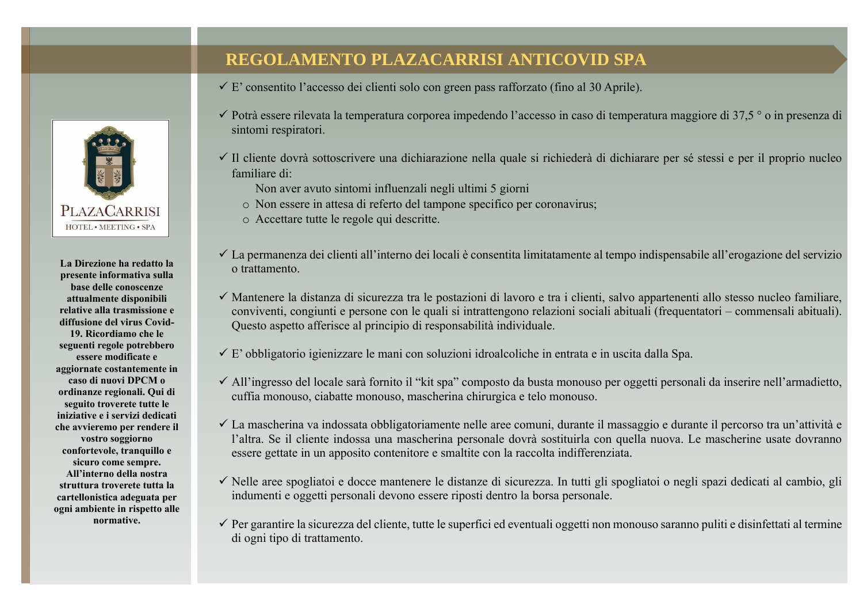- ✓ E' consentito l'accesso dei clienti solo con green pass rafforzato (fino al 30 Aprile).
- $\checkmark$  Potrà essere rilevata la temperatura corporea impedendo l'accesso in caso di temperatura maggiore di 37,5 ° o in presenza di sintomi respiratori.
- ✓ Il cliente dovrà sottoscrivere una dichiarazione nella quale si richiederà di dichiarare per sé stessi e per il proprio nucleo familiare di:
	- Non aver avuto sintomi influenzali negli ultimi 5 giorni
	- o Non essere in attesa di referto del tampone specifico per coronavirus;
	- o Accettare tutte le regole qui descritte.
- ✓ La permanenza dei clienti all'interno dei locali è consentita limitatamente al tempo indispensabile all'erogazione del servizio o trattamento.
- ✓ Mantenere la distanza di sicurezza tra le postazioni di lavoro e tra i clienti, salvo appartenenti allo stesso nucleo familiare, conviventi, congiunti e persone con le quali si intrattengono relazioni sociali abituali (frequentatori – commensali abituali). Questo aspetto afferisce al principio di responsabilità individuale.
- $\checkmark$  E' obbligatorio igienizzare le mani con soluzioni idroalcoliche in entrata e in uscita dalla Spa.
- ✓ All'ingresso del locale sarà fornito il "kit spa" composto da busta monouso per oggetti personali da inserire nell'armadietto, cuffia monouso, ciabatte monouso, mascherina chirurgica e telo monouso.
- ✓ La mascherina va indossata obbligatoriamente nelle aree comuni, durante il massaggio e durante il percorso tra un'attività e l'altra. Se il cliente indossa una mascherina personale dovrà sostituirla con quella nuova. Le mascherine usate dovranno essere gettate in un apposito contenitore e smaltite con la raccolta indifferenziata.
- ✓ Nelle aree spogliatoi e docce mantenere le distanze di sicurezza. In tutti gli spogliatoi o negli spazi dedicati al cambio, gli indumenti e oggetti personali devono essere riposti dentro la borsa personale.
- ✓ Per garantire la sicurezza del cliente, tutte le superfici ed eventuali oggetti non monouso saranno puliti e disinfettati al termine di ogni tipo di trattamento.



**La Direzione ha redatto la presente informativa sulla base delle conoscenze attualmente disponibili relative alla trasmissione e diffusione del virus Covid-19. Ricordiamo che le seguenti regole potrebbero essere modificate e aggiornate costantemente in caso di nuovi DPCM o ordinanze regionali. Qui di seguito troverete tutte le iniziative e i servizi dedicati che avvieremo per rendere il vostro soggiorno confortevole, tranquillo e sicuro come sempre. All'interno della nostra struttura troverete tutta la cartellonistica adeguata per ogni ambiente in rispetto alle normative.**

## **REGOLAMENTO PLAZACARRISI ANTICOVID SPA**